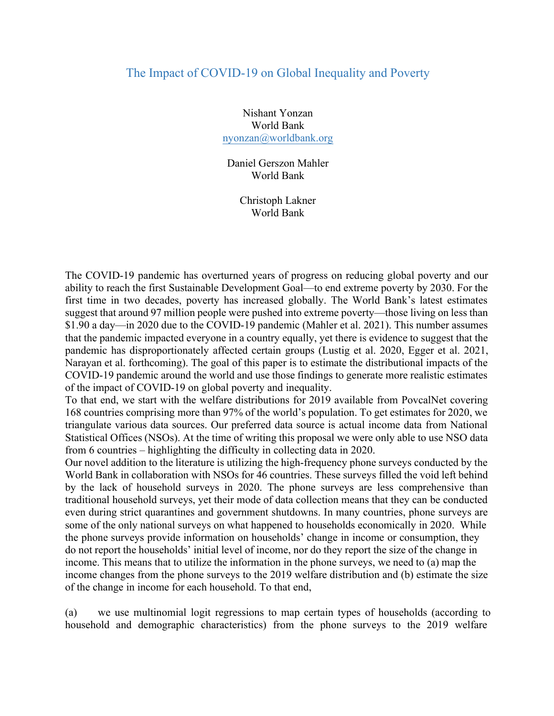## The Impact of COVID-19 on Global Inequality and Poverty

Nishant Yonzan World Bank nyonzan@worldbank.org

Daniel Gerszon Mahler World Bank

> Christoph Lakner World Bank

The COVID-19 pandemic has overturned years of progress on reducing global poverty and our ability to reach the first Sustainable Development Goal—to end extreme poverty by 2030. For the first time in two decades, poverty has increased globally. The World Bank's latest estimates suggest that around 97 million people were pushed into extreme poverty—those living on less than \$1.90 a day—in 2020 due to the COVID-19 pandemic (Mahler et al. 2021). This number assumes that the pandemic impacted everyone in a country equally, yet there is evidence to suggest that the pandemic has disproportionately affected certain groups (Lustig et al. 2020, Egger et al. 2021, Narayan et al. forthcoming). The goal of this paper is to estimate the distributional impacts of the COVID-19 pandemic around the world and use those findings to generate more realistic estimates of the impact of COVID-19 on global poverty and inequality.

To that end, we start with the welfare distributions for 2019 available from PovcalNet covering 168 countries comprising more than 97% of the world's population. To get estimates for 2020, we triangulate various data sources. Our preferred data source is actual income data from National Statistical Offices (NSOs). At the time of writing this proposal we were only able to use NSO data from 6 countries – highlighting the difficulty in collecting data in 2020.

Our novel addition to the literature is utilizing the high-frequency phone surveys conducted by the World Bank in collaboration with NSOs for 46 countries. These surveys filled the void left behind by the lack of household surveys in 2020. The phone surveys are less comprehensive than traditional household surveys, yet their mode of data collection means that they can be conducted even during strict quarantines and government shutdowns. In many countries, phone surveys are some of the only national surveys on what happened to households economically in 2020. While the phone surveys provide information on households' change in income or consumption, they do not report the households' initial level of income, nor do they report the size of the change in income. This means that to utilize the information in the phone surveys, we need to (a) map the income changes from the phone surveys to the 2019 welfare distribution and (b) estimate the size of the change in income for each household. To that end,

(a) we use multinomial logit regressions to map certain types of households (according to household and demographic characteristics) from the phone surveys to the 2019 welfare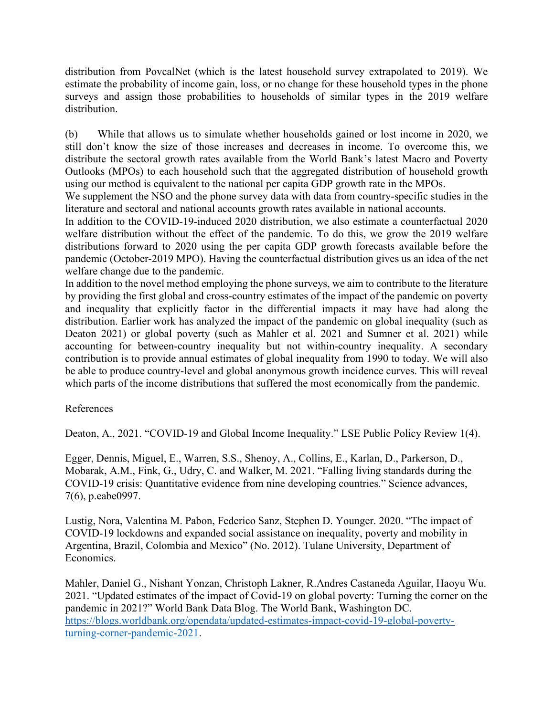distribution from PovcalNet (which is the latest household survey extrapolated to 2019). We estimate the probability of income gain, loss, or no change for these household types in the phone surveys and assign those probabilities to households of similar types in the 2019 welfare distribution.

(b) While that allows us to simulate whether households gained or lost income in 2020, we still don't know the size of those increases and decreases in income. To overcome this, we distribute the sectoral growth rates available from the World Bank's latest Macro and Poverty Outlooks (MPOs) to each household such that the aggregated distribution of household growth using our method is equivalent to the national per capita GDP growth rate in the MPOs.

We supplement the NSO and the phone survey data with data from country-specific studies in the literature and sectoral and national accounts growth rates available in national accounts.

In addition to the COVID-19-induced 2020 distribution, we also estimate a counterfactual 2020 welfare distribution without the effect of the pandemic. To do this, we grow the 2019 welfare distributions forward to 2020 using the per capita GDP growth forecasts available before the pandemic (October-2019 MPO). Having the counterfactual distribution gives us an idea of the net welfare change due to the pandemic.

In addition to the novel method employing the phone surveys, we aim to contribute to the literature by providing the first global and cross-country estimates of the impact of the pandemic on poverty and inequality that explicitly factor in the differential impacts it may have had along the distribution. Earlier work has analyzed the impact of the pandemic on global inequality (such as Deaton 2021) or global poverty (such as Mahler et al. 2021 and Sumner et al. 2021) while accounting for between-country inequality but not within-country inequality. A secondary contribution is to provide annual estimates of global inequality from 1990 to today. We will also be able to produce country-level and global anonymous growth incidence curves. This will reveal which parts of the income distributions that suffered the most economically from the pandemic.

## References

Deaton, A., 2021. "COVID-19 and Global Income Inequality." LSE Public Policy Review 1(4).

Egger, Dennis, Miguel, E., Warren, S.S., Shenoy, A., Collins, E., Karlan, D., Parkerson, D., Mobarak, A.M., Fink, G., Udry, C. and Walker, M. 2021. "Falling living standards during the COVID-19 crisis: Quantitative evidence from nine developing countries." Science advances, 7(6), p.eabe0997.

Lustig, Nora, Valentina M. Pabon, Federico Sanz, Stephen D. Younger. 2020. "The impact of COVID-19 lockdowns and expanded social assistance on inequality, poverty and mobility in Argentina, Brazil, Colombia and Mexico" (No. 2012). Tulane University, Department of Economics.

Mahler, Daniel G., Nishant Yonzan, Christoph Lakner, R.Andres Castaneda Aguilar, Haoyu Wu. 2021. "Updated estimates of the impact of Covid-19 on global poverty: Turning the corner on the pandemic in 2021?" World Bank Data Blog. The World Bank, Washington DC. https://blogs.worldbank.org/opendata/updated-estimates-impact-covid-19-global-povertyturning-corner-pandemic-2021.